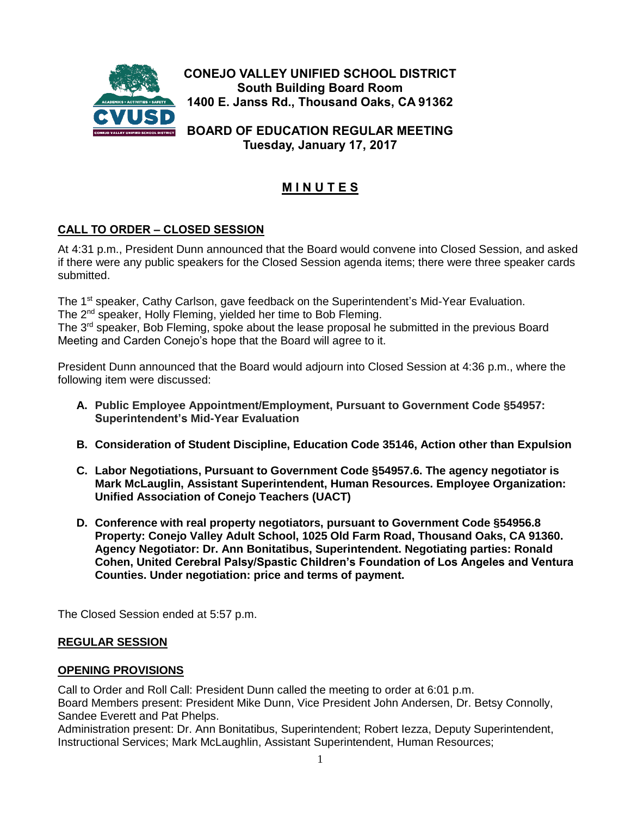

**Tuesday, January 17, 2017**

# **M I N U T E S**

# **CALL TO ORDER – CLOSED SESSION**

At 4:31 p.m., President Dunn announced that the Board would convene into Closed Session, and asked if there were any public speakers for the Closed Session agenda items; there were three speaker cards submitted.

The 1<sup>st</sup> speaker, Cathy Carlson, gave feedback on the Superintendent's Mid-Year Evaluation. The 2<sup>nd</sup> speaker, Holly Fleming, yielded her time to Bob Fleming.

The 3<sup>rd</sup> speaker, Bob Fleming, spoke about the lease proposal he submitted in the previous Board Meeting and Carden Conejo's hope that the Board will agree to it.

President Dunn announced that the Board would adjourn into Closed Session at 4:36 p.m., where the following item were discussed:

- **A. Public Employee Appointment/Employment, Pursuant to Government Code §54957: Superintendent's Mid-Year Evaluation**
- **B. Consideration of Student Discipline, Education Code 35146, Action other than Expulsion**
- **C. Labor Negotiations, Pursuant to Government Code §54957.6. The agency negotiator is Mark McLauglin, Assistant Superintendent, Human Resources. Employee Organization: Unified Association of Conejo Teachers (UACT)**
- **D. Conference with real property negotiators, pursuant to Government Code §54956.8 Property: Conejo Valley Adult School, 1025 Old Farm Road, Thousand Oaks, CA 91360. Agency Negotiator: Dr. Ann Bonitatibus, Superintendent. Negotiating parties: Ronald Cohen, United Cerebral Palsy/Spastic Children's Foundation of Los Angeles and Ventura Counties. Under negotiation: price and terms of payment.**

The Closed Session ended at 5:57 p.m.

## **REGULAR SESSION**

#### **OPENING PROVISIONS**

Call to Order and Roll Call: President Dunn called the meeting to order at 6:01 p.m. Board Members present: President Mike Dunn, Vice President John Andersen, Dr. Betsy Connolly, Sandee Everett and Pat Phelps.

Administration present: Dr. Ann Bonitatibus, Superintendent; Robert Iezza, Deputy Superintendent, Instructional Services; Mark McLaughlin, Assistant Superintendent, Human Resources;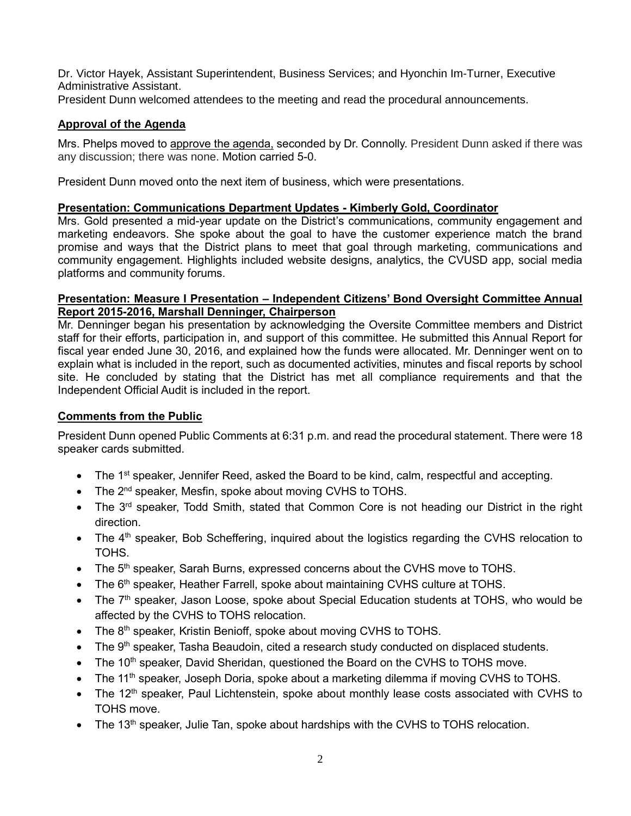Dr. Victor Hayek, Assistant Superintendent, Business Services; and Hyonchin Im-Turner, Executive Administrative Assistant.

President Dunn welcomed attendees to the meeting and read the procedural announcements.

# **Approval of the Agenda**

Mrs. Phelps moved to approve the agenda, seconded by Dr. Connolly. President Dunn asked if there was any discussion; there was none. Motion carried 5-0.

President Dunn moved onto the next item of business, which were presentations.

## **Presentation: Communications Department Updates - Kimberly Gold, Coordinator**

Mrs. Gold presented a mid-year update on the District's communications, community engagement and marketing endeavors. She spoke about the goal to have the customer experience match the brand promise and ways that the District plans to meet that goal through marketing, communications and community engagement. Highlights included website designs, analytics, the CVUSD app, social media platforms and community forums.

#### **Presentation: Measure I Presentation – Independent Citizens' Bond Oversight Committee Annual Report 2015-2016, Marshall Denninger, Chairperson**

Mr. Denninger began his presentation by acknowledging the Oversite Committee members and District staff for their efforts, participation in, and support of this committee. He submitted this Annual Report for fiscal year ended June 30, 2016, and explained how the funds were allocated. Mr. Denninger went on to explain what is included in the report, such as documented activities, minutes and fiscal reports by school site. He concluded by stating that the District has met all compliance requirements and that the Independent Official Audit is included in the report.

# **Comments from the Public**

President Dunn opened Public Comments at 6:31 p.m. and read the procedural statement. There were 18 speaker cards submitted.

- The 1<sup>st</sup> speaker, Jennifer Reed, asked the Board to be kind, calm, respectful and accepting.
- The 2<sup>nd</sup> speaker, Mesfin, spoke about moving CVHS to TOHS.
- The 3<sup>rd</sup> speaker, Todd Smith, stated that Common Core is not heading our District in the right direction.
- $\bullet$  The 4<sup>th</sup> speaker, Bob Scheffering, inquired about the logistics regarding the CVHS relocation to TOHS.
- The 5<sup>th</sup> speaker, Sarah Burns, expressed concerns about the CVHS move to TOHS.
- The 6<sup>th</sup> speaker, Heather Farrell, spoke about maintaining CVHS culture at TOHS.
- $\bullet$  The  $7<sup>th</sup>$  speaker, Jason Loose, spoke about Special Education students at TOHS, who would be affected by the CVHS to TOHS relocation.
- The 8<sup>th</sup> speaker, Kristin Benioff, spoke about moving CVHS to TOHS.
- The 9<sup>th</sup> speaker, Tasha Beaudoin, cited a research study conducted on displaced students.
- The 10<sup>th</sup> speaker, David Sheridan, questioned the Board on the CVHS to TOHS move.
- $\bullet$  The 11<sup>th</sup> speaker, Joseph Doria, spoke about a marketing dilemma if moving CVHS to TOHS.
- The 12<sup>th</sup> speaker, Paul Lichtenstein, spoke about monthly lease costs associated with CVHS to TOHS move.
- $\bullet$  The 13<sup>th</sup> speaker, Julie Tan, spoke about hardships with the CVHS to TOHS relocation.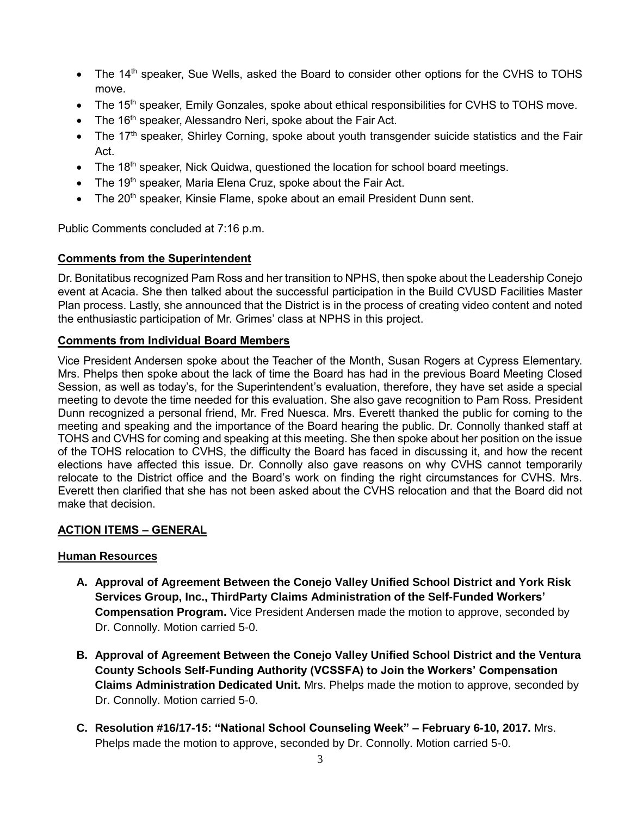- The 14<sup>th</sup> speaker, Sue Wells, asked the Board to consider other options for the CVHS to TOHS move.
- $\bullet$  The 15<sup>th</sup> speaker, Emily Gonzales, spoke about ethical responsibilities for CVHS to TOHS move.
- $\bullet$  The 16<sup>th</sup> speaker, Alessandro Neri, spoke about the Fair Act.
- $\bullet$  The 17<sup>th</sup> speaker, Shirley Corning, spoke about youth transgender suicide statistics and the Fair Act.
- $\bullet$  The 18<sup>th</sup> speaker, Nick Quidwa, questioned the location for school board meetings.
- The 19<sup>th</sup> speaker, Maria Elena Cruz, spoke about the Fair Act.
- The 20<sup>th</sup> speaker, Kinsie Flame, spoke about an email President Dunn sent.

Public Comments concluded at 7:16 p.m.

# **Comments from the Superintendent**

Dr. Bonitatibus recognized Pam Ross and her transition to NPHS, then spoke about the Leadership Conejo event at Acacia. She then talked about the successful participation in the Build CVUSD Facilities Master Plan process. Lastly, she announced that the District is in the process of creating video content and noted the enthusiastic participation of Mr. Grimes' class at NPHS in this project.

# **Comments from Individual Board Members**

Vice President Andersen spoke about the Teacher of the Month, Susan Rogers at Cypress Elementary. Mrs. Phelps then spoke about the lack of time the Board has had in the previous Board Meeting Closed Session, as well as today's, for the Superintendent's evaluation, therefore, they have set aside a special meeting to devote the time needed for this evaluation. She also gave recognition to Pam Ross. President Dunn recognized a personal friend, Mr. Fred Nuesca. Mrs. Everett thanked the public for coming to the meeting and speaking and the importance of the Board hearing the public. Dr. Connolly thanked staff at TOHS and CVHS for coming and speaking at this meeting. She then spoke about her position on the issue of the TOHS relocation to CVHS, the difficulty the Board has faced in discussing it, and how the recent elections have affected this issue. Dr. Connolly also gave reasons on why CVHS cannot temporarily relocate to the District office and the Board's work on finding the right circumstances for CVHS. Mrs. Everett then clarified that she has not been asked about the CVHS relocation and that the Board did not make that decision.

# **ACTION ITEMS – GENERAL**

# **Human Resources**

- **A. Approval of Agreement Between the Conejo Valley Unified School District and York Risk Services Group, Inc., ThirdParty Claims Administration of the Self-Funded Workers' Compensation Program.** Vice President Andersen made the motion to approve, seconded by Dr. Connolly. Motion carried 5-0.
- **B. Approval of Agreement Between the Conejo Valley Unified School District and the Ventura County Schools Self-Funding Authority (VCSSFA) to Join the Workers' Compensation Claims Administration Dedicated Unit.** Mrs. Phelps made the motion to approve, seconded by Dr. Connolly. Motion carried 5-0.
- **C. Resolution #16/17-15: "National School Counseling Week" – February 6-10, 2017.** Mrs. Phelps made the motion to approve, seconded by Dr. Connolly. Motion carried 5-0.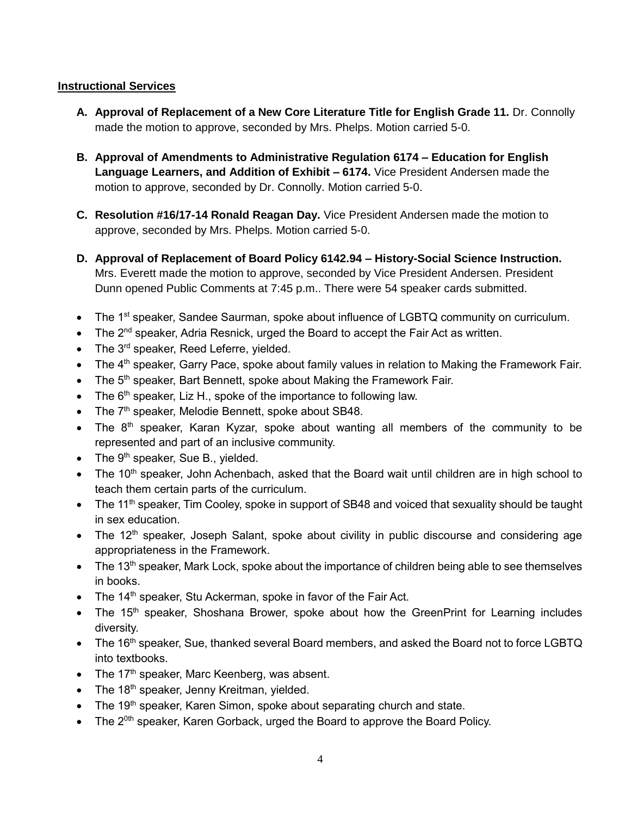## **Instructional Services**

- **A. Approval of Replacement of a New Core Literature Title for English Grade 11.** Dr. Connolly made the motion to approve, seconded by Mrs. Phelps. Motion carried 5-0.
- **B. Approval of Amendments to Administrative Regulation 6174 – Education for English Language Learners, and Addition of Exhibit – 6174.** Vice President Andersen made the motion to approve, seconded by Dr. Connolly. Motion carried 5-0.
- **C. Resolution #16/17-14 Ronald Reagan Day.** Vice President Andersen made the motion to approve, seconded by Mrs. Phelps. Motion carried 5-0.
- **D. Approval of Replacement of Board Policy 6142.94 – History-Social Science Instruction.**  Mrs. Everett made the motion to approve, seconded by Vice President Andersen. President Dunn opened Public Comments at 7:45 p.m.. There were 54 speaker cards submitted.
- The 1<sup>st</sup> speaker, Sandee Saurman, spoke about influence of LGBTQ community on curriculum.
- The 2<sup>nd</sup> speaker, Adria Resnick, urged the Board to accept the Fair Act as written.
- The 3<sup>rd</sup> speaker, Reed Leferre, yielded.
- $\bullet$  The 4<sup>th</sup> speaker, Garry Pace, spoke about family values in relation to Making the Framework Fair.
- $\bullet$  The 5<sup>th</sup> speaker, Bart Bennett, spoke about Making the Framework Fair.
- The  $6<sup>th</sup>$  speaker, Liz H., spoke of the importance to following law.
- The 7<sup>th</sup> speaker, Melodie Bennett, spoke about SB48.
- $\bullet$  The 8<sup>th</sup> speaker, Karan Kyzar, spoke about wanting all members of the community to be represented and part of an inclusive community.
- The  $9<sup>th</sup>$  speaker, Sue B., yielded.
- $\bullet$  The 10<sup>th</sup> speaker, John Achenbach, asked that the Board wait until children are in high school to teach them certain parts of the curriculum.
- The 11<sup>th</sup> speaker, Tim Cooley, spoke in support of SB48 and voiced that sexuality should be taught in sex education.
- The  $12<sup>th</sup>$  speaker, Joseph Salant, spoke about civility in public discourse and considering age appropriateness in the Framework.
- $\bullet$  The 13<sup>th</sup> speaker, Mark Lock, spoke about the importance of children being able to see themselves in books.
- $\bullet$  The 14<sup>th</sup> speaker, Stu Ackerman, spoke in favor of the Fair Act.
- The 15<sup>th</sup> speaker, Shoshana Brower, spoke about how the GreenPrint for Learning includes diversity.
- The 16<sup>th</sup> speaker, Sue, thanked several Board members, and asked the Board not to force LGBTQ into textbooks.
- $\bullet$  The 17<sup>th</sup> speaker, Marc Keenberg, was absent.
- The  $18<sup>th</sup>$  speaker, Jenny Kreitman, yielded.
- $\bullet$  The 19<sup>th</sup> speaker, Karen Simon, spoke about separating church and state.
- The 2<sup>0th</sup> speaker, Karen Gorback, urged the Board to approve the Board Policy.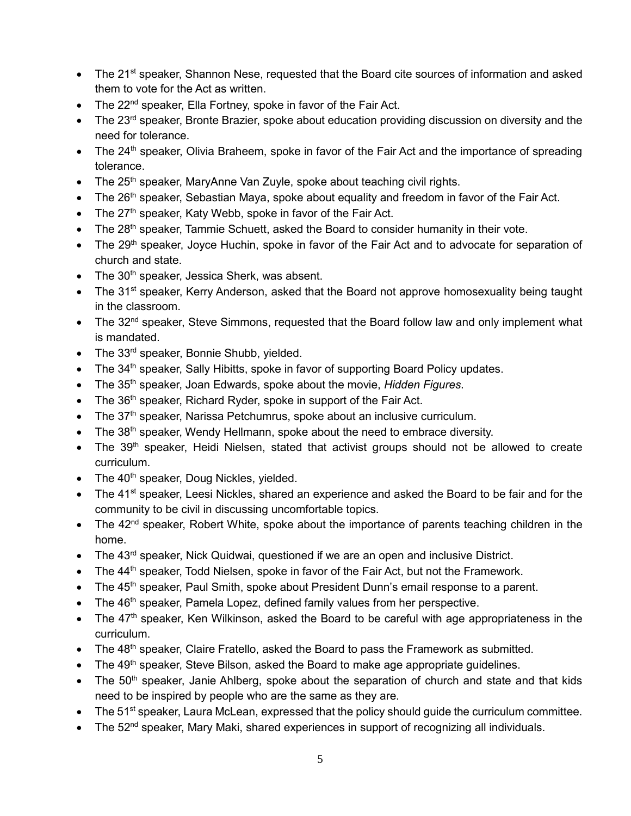- The 21<sup>st</sup> speaker, Shannon Nese, requested that the Board cite sources of information and asked them to vote for the Act as written.
- The 22<sup>nd</sup> speaker, Ella Fortney, spoke in favor of the Fair Act.
- The 23<sup>rd</sup> speaker, Bronte Brazier, spoke about education providing discussion on diversity and the need for tolerance.
- The 24<sup>th</sup> speaker, Olivia Braheem, spoke in favor of the Fair Act and the importance of spreading tolerance.
- $\bullet$  The 25<sup>th</sup> speaker, MaryAnne Van Zuyle, spoke about teaching civil rights.
- $\bullet$  The 26<sup>th</sup> speaker, Sebastian Maya, spoke about equality and freedom in favor of the Fair Act.
- $\bullet$  The 27<sup>th</sup> speaker, Katy Webb, spoke in favor of the Fair Act.
- $\bullet$  The 28<sup>th</sup> speaker, Tammie Schuett, asked the Board to consider humanity in their vote.
- The 29<sup>th</sup> speaker, Joyce Huchin, spoke in favor of the Fair Act and to advocate for separation of church and state.
- $\bullet$  The 30<sup>th</sup> speaker, Jessica Sherk, was absent.
- The 31<sup>st</sup> speaker, Kerry Anderson, asked that the Board not approve homosexuality being taught in the classroom.
- The 32<sup>nd</sup> speaker, Steve Simmons, requested that the Board follow law and only implement what is mandated.
- The 33<sup>rd</sup> speaker, Bonnie Shubb, yielded.
- The 34<sup>th</sup> speaker, Sally Hibitts, spoke in favor of supporting Board Policy updates.
- The 35th speaker, Joan Edwards, spoke about the movie, *Hidden Figures*.
- $\bullet$  The 36<sup>th</sup> speaker, Richard Ryder, spoke in support of the Fair Act.
- $\bullet$  The 37<sup>th</sup> speaker, Narissa Petchumrus, spoke about an inclusive curriculum.
- $\bullet$  The 38<sup>th</sup> speaker, Wendy Hellmann, spoke about the need to embrace diversity.
- $\bullet$  The 39<sup>th</sup> speaker, Heidi Nielsen, stated that activist groups should not be allowed to create curriculum.
- $\bullet$  The 40<sup>th</sup> speaker, Doug Nickles, yielded.
- The 41<sup>st</sup> speaker, Leesi Nickles, shared an experience and asked the Board to be fair and for the community to be civil in discussing uncomfortable topics.
- $\bullet$  The 42<sup>nd</sup> speaker, Robert White, spoke about the importance of parents teaching children in the home.
- The 43<sup>rd</sup> speaker, Nick Quidwai, questioned if we are an open and inclusive District.
- $\bullet$  The 44<sup>th</sup> speaker, Todd Nielsen, spoke in favor of the Fair Act, but not the Framework.
- The 45<sup>th</sup> speaker, Paul Smith, spoke about President Dunn's email response to a parent.
- $\bullet$  The 46<sup>th</sup> speaker, Pamela Lopez, defined family values from her perspective.
- The 47<sup>th</sup> speaker, Ken Wilkinson, asked the Board to be careful with age appropriateness in the curriculum.
- $\bullet$  The 48<sup>th</sup> speaker, Claire Fratello, asked the Board to pass the Framework as submitted.
- The 49<sup>th</sup> speaker, Steve Bilson, asked the Board to make age appropriate guidelines.
- $\bullet$  The 50<sup>th</sup> speaker, Janie Ahlberg, spoke about the separation of church and state and that kids need to be inspired by people who are the same as they are.
- $\bullet$  The 51<sup>st</sup> speaker, Laura McLean, expressed that the policy should guide the curriculum committee.
- $\bullet$  The 52<sup>nd</sup> speaker, Mary Maki, shared experiences in support of recognizing all individuals.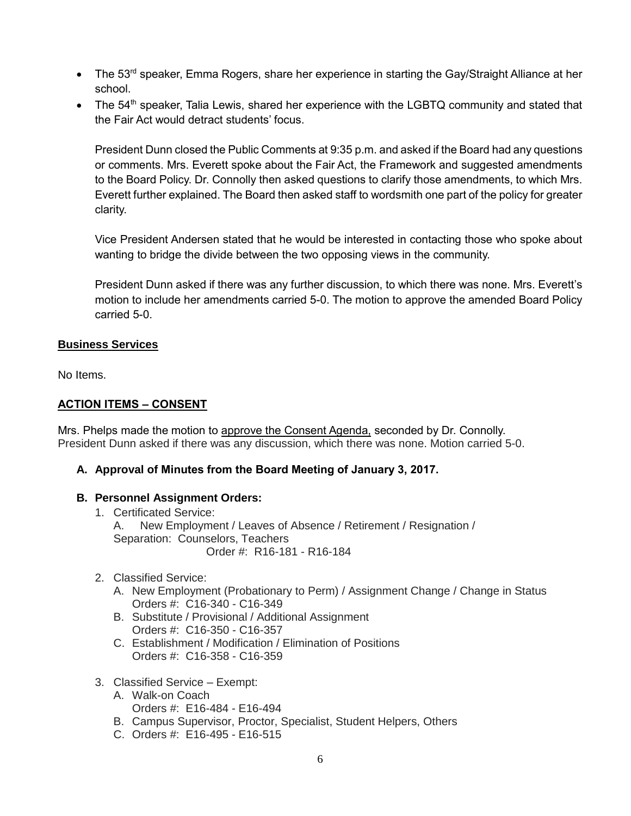- $\bullet$  The 53<sup>rd</sup> speaker, Emma Rogers, share her experience in starting the Gay/Straight Alliance at her school.
- $\bullet$  The 54<sup>th</sup> speaker, Talia Lewis, shared her experience with the LGBTQ community and stated that the Fair Act would detract students' focus.

President Dunn closed the Public Comments at 9:35 p.m. and asked if the Board had any questions or comments. Mrs. Everett spoke about the Fair Act, the Framework and suggested amendments to the Board Policy. Dr. Connolly then asked questions to clarify those amendments, to which Mrs. Everett further explained. The Board then asked staff to wordsmith one part of the policy for greater clarity.

Vice President Andersen stated that he would be interested in contacting those who spoke about wanting to bridge the divide between the two opposing views in the community.

President Dunn asked if there was any further discussion, to which there was none. Mrs. Everett's motion to include her amendments carried 5-0. The motion to approve the amended Board Policy carried 5-0.

## **Business Services**

No Items.

# **ACTION ITEMS – CONSENT**

Mrs. Phelps made the motion to approve the Consent Agenda, seconded by Dr. Connolly. President Dunn asked if there was any discussion, which there was none. Motion carried 5-0.

## **A. Approval of Minutes from the Board Meeting of January 3, 2017.**

## **B. Personnel Assignment Orders:**

- 1. Certificated Service: A. New Employment / Leaves of Absence / Retirement / Resignation / Separation: Counselors, Teachers Order #: R16-181 - R16-184
- 2. Classified Service:
	- A. New Employment (Probationary to Perm) / Assignment Change / Change in Status Orders #: C16-340 - C16-349
	- B. Substitute / Provisional / Additional Assignment Orders #: C16-350 - C16-357
	- C. Establishment / Modification / Elimination of Positions Orders #: C16-358 - C16-359
- 3. Classified Service Exempt:
	- A. Walk-on Coach Orders #: E16-484 - E16-494
	- B. Campus Supervisor, Proctor, Specialist, Student Helpers, Others
	- C. Orders #: E16-495 E16-515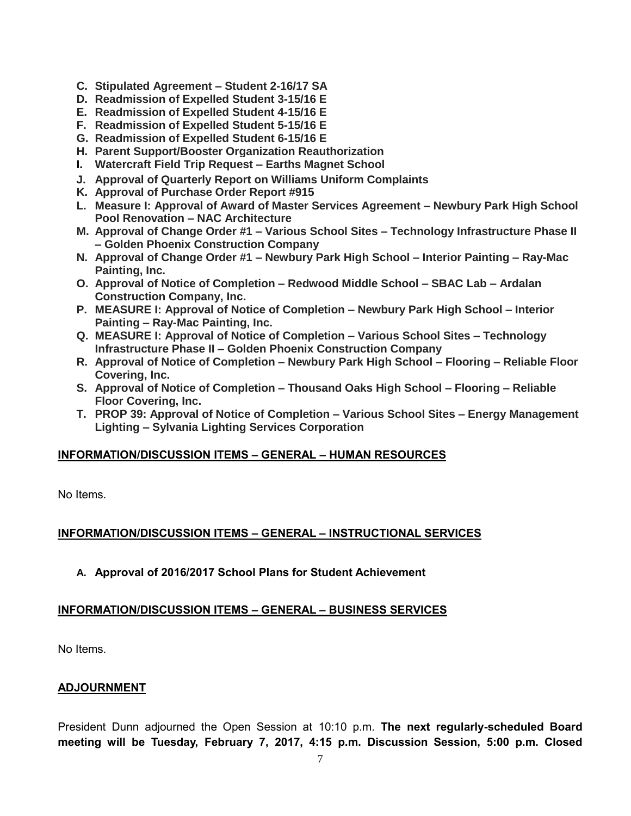- **C. Stipulated Agreement – Student 2-16/17 SA**
- **D. Readmission of Expelled Student 3-15/16 E**
- **E. Readmission of Expelled Student 4-15/16 E**
- **F. Readmission of Expelled Student 5-15/16 E**
- **G. Readmission of Expelled Student 6-15/16 E**
- **H. Parent Support/Booster Organization Reauthorization**
- **I. Watercraft Field Trip Request – Earths Magnet School**
- **J. Approval of Quarterly Report on Williams Uniform Complaints**
- **K. Approval of Purchase Order Report #915**
- **L. Measure I: Approval of Award of Master Services Agreement – Newbury Park High School Pool Renovation – NAC Architecture**
- **M. Approval of Change Order #1 – Various School Sites – Technology Infrastructure Phase II – Golden Phoenix Construction Company**
- **N. Approval of Change Order #1 – Newbury Park High School – Interior Painting – Ray-Mac Painting, Inc.**
- **O. Approval of Notice of Completion – Redwood Middle School – SBAC Lab – Ardalan Construction Company, Inc.**
- **P. MEASURE I: Approval of Notice of Completion – Newbury Park High School – Interior Painting – Ray-Mac Painting, Inc.**
- **Q. MEASURE I: Approval of Notice of Completion – Various School Sites – Technology Infrastructure Phase II – Golden Phoenix Construction Company**
- **R. Approval of Notice of Completion – Newbury Park High School – Flooring – Reliable Floor Covering, Inc.**
- **S. Approval of Notice of Completion – Thousand Oaks High School – Flooring – Reliable Floor Covering, Inc.**
- **T. PROP 39: Approval of Notice of Completion – Various School Sites – Energy Management Lighting – Sylvania Lighting Services Corporation**

## **INFORMATION/DISCUSSION ITEMS – GENERAL – HUMAN RESOURCES**

No Items.

# **INFORMATION/DISCUSSION ITEMS – GENERAL – INSTRUCTIONAL SERVICES**

## **A. Approval of 2016/2017 School Plans for Student Achievement**

## **INFORMATION/DISCUSSION ITEMS – GENERAL – BUSINESS SERVICES**

No Items.

## **ADJOURNMENT**

President Dunn adjourned the Open Session at 10:10 p.m. **The next regularly-scheduled Board meeting will be Tuesday, February 7, 2017, 4:15 p.m. Discussion Session, 5:00 p.m. Closed**